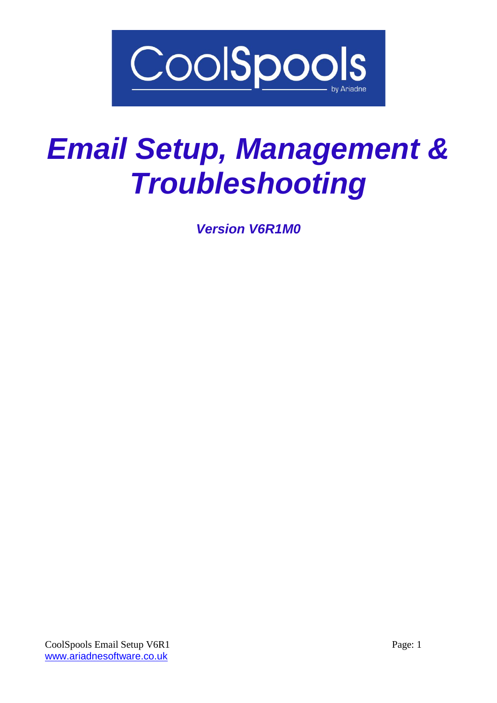

# *Email Setup, Management & Troubleshooting*

*Version V6R1M0*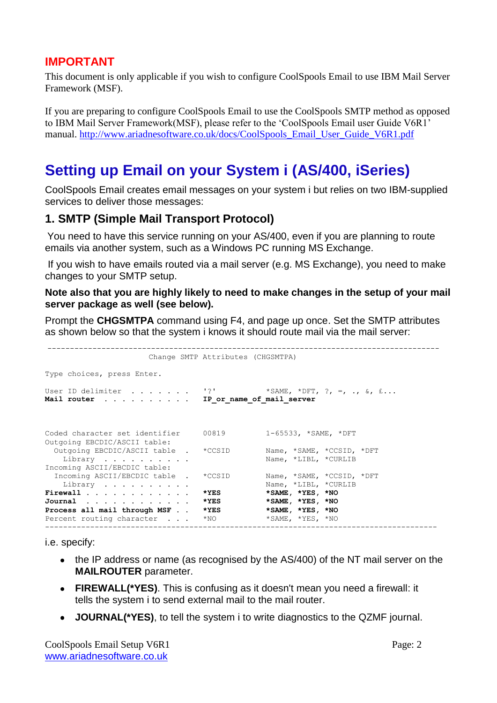# **IMPORTANT**

This document is only applicable if you wish to configure CoolSpools Email to use IBM Mail Server Framework (MSF).

If you are preparing to configure CoolSpools Email to use the CoolSpools SMTP method as opposed to IBM Mail Server Framework(MSF), please refer to the 'CoolSpools Email user Guide V6R1' manual. [http://www.ariadnesoftware.co.uk/docs/CoolSpools\\_Email\\_User\\_Guide\\_V6R1.pdf](http://www.ariadnesoftware.co.uk/docs/CoolSpools_Email_User_Guide_V6R1.pdf)

# **Setting up Email on your System i (AS/400, iSeries)**

CoolSpools Email creates email messages on your system i but relies on two IBM-supplied services to deliver those messages:

# **1. SMTP (Simple Mail Transport Protocol)**

You need to have this service running on your AS/400, even if you are planning to route emails via another system, such as a Windows PC running MS Exchange.

If you wish to have emails routed via a mail server (e.g. MS Exchange), you need to make changes to your SMTP setup.

#### **Note also that you are highly likely to need to make changes in the setup of your mail server package as well (see below).**

Prompt the **CHGSMTPA** command using F4, and page up once. Set the SMTP attributes as shown below so that the system i knows it should route mail via the mail server:

|                                                                          | Change SMTP Attributes (CHGSMTPA)                        |                                                   |
|--------------------------------------------------------------------------|----------------------------------------------------------|---------------------------------------------------|
| Type choices, press Enter.                                               |                                                          |                                                   |
| User ID delimiter<br>Mail router                                         | $\mathbf{1}$ 2 $\mathbf{1}$<br>IP or name of mail server | *SAME, *DFT, ?, =, ., &, £                        |
| Coded character set identifier<br>Outgoing EBCDIC/ASCII table:           | 00819                                                    | $1-65533$ , *SAME, *DFT                           |
| Outgoing EBCDIC/ASCII table . *CCSID<br>Library                          |                                                          | Name, *SAME, *CCSID, *DFT<br>Name, *LIBL, *CURLIB |
| Incoming ASCII/EBCDIC table:<br>Incoming ASCII/EBCDIC table .<br>Library | $*CCSID$                                                 | Name, *SAME, *CCSID, *DFT<br>Name, *LIBL, *CURLIB |
| Firewall<br>Journal $\ldots$ , $\ldots$ , $\ldots$ , $\ldots$            | *YES<br>*YES                                             | *SAME, *YES, *NO<br>*SAME, *YES, *NO              |
| Process all mail through MSF<br>Percent routing character                | *YES<br>$*_{\rm NO}$                                     | *SAME, *YES, *NO<br>*SAME, *YES, *NO              |
|                                                                          |                                                          |                                                   |

i.e. specify:

- the IP address or name (as recognised by the AS/400) of the NT mail server on the **MAILROUTER** parameter.
- **FIREWALL(\*YES)**. This is confusing as it doesn't mean you need a firewall: it tells the system i to send external mail to the mail router.
- **JOURNAL(\*YES)**, to tell the system i to write diagnostics to the QZMF journal.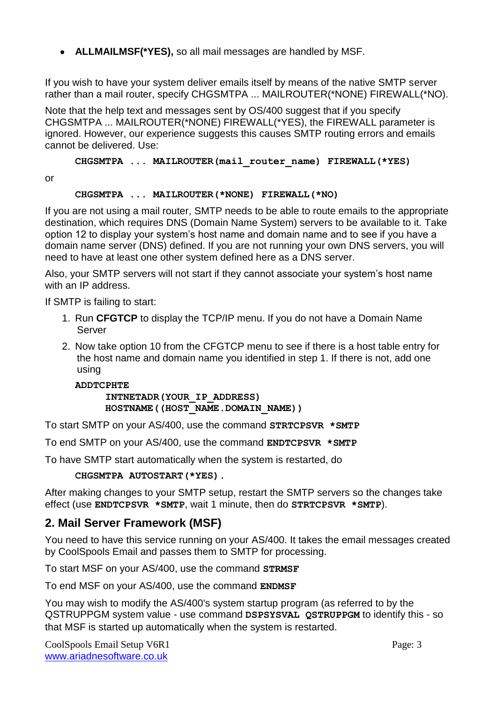**ALLMAILMSF(\*YES),** so all mail messages are handled by MSF.

If you wish to have your system deliver emails itself by means of the native SMTP server rather than a mail router, specify CHGSMTPA ... MAILROUTER(\*NONE) FIREWALL(\*NO).

Note that the help text and messages sent by OS/400 suggest that if you specify CHGSMTPA ... MAILROUTER(\*NONE) FIREWALL(\*YES), the FIREWALL parameter is ignored. However, our experience suggests this causes SMTP routing errors and emails cannot be delivered. Use:

**CHGSMTPA ... MAILROUTER(mail\_router\_name) FIREWALL(\*YES)**

or

#### **CHGSMTPA ... MAILROUTER(\*NONE) FIREWALL(\*NO)**

If you are not using a mail router, SMTP needs to be able to route emails to the appropriate destination, which requires DNS (Domain Name System) servers to be available to it. Take option 12 to display your system's host name and domain name and to see if you have a domain name server (DNS) defined. If you are not running your own DNS servers, you will need to have at least one other system defined here as a DNS server.

Also, your SMTP servers will not start if they cannot associate your system's host name with an IP address.

If SMTP is failing to start:

- 1. Run **CFGTCP** to display the TCP/IP menu. If you do not have a Domain Name Server
- 2. Now take option 10 from the CFGTCP menu to see if there is a host table entry for the host name and domain name you identified in step 1. If there is not, add one using

**ADDTCPHTE INTNETADR(YOUR\_IP\_ADDRESS) HOSTNAME((HOST\_NAME.DOMAIN\_NAME))**

To start SMTP on your AS/400, use the command **STRTCPSVR \*SMTP**

To end SMTP on your AS/400, use the command **ENDTCPSVR \*SMTP**

To have SMTP start automatically when the system is restarted, do

**CHGSMTPA AUTOSTART(\*YES).**

After making changes to your SMTP setup, restart the SMTP servers so the changes take effect (use **ENDTCPSVR \*SMTP**, wait 1 minute, then do **STRTCPSVR \*SMTP**).

# **2. Mail Server Framework (MSF)**

You need to have this service running on your AS/400. It takes the email messages created by CoolSpools Email and passes them to SMTP for processing.

To start MSF on your AS/400, use the command **STRMSF**

To end MSF on your AS/400, use the command **ENDMSF**

You may wish to modify the AS/400's system startup program (as referred to by the QSTRUPPGM system value - use command **DSPSYSVAL QSTRUPPGM** to identify this - so that MSF is started up automatically when the system is restarted.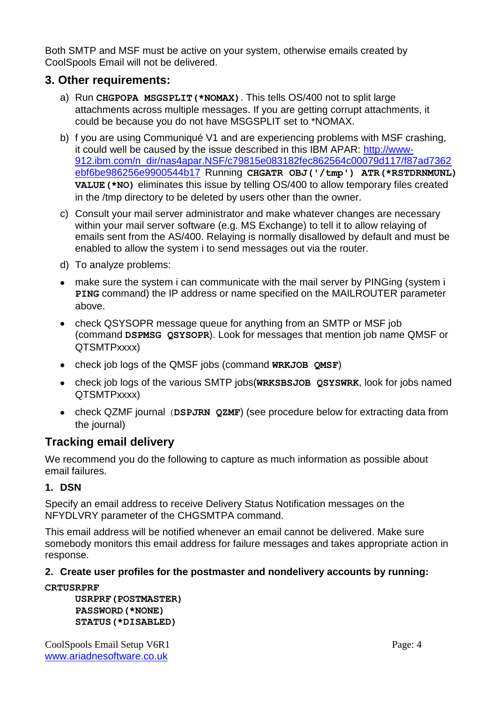Both SMTP and MSF must be active on your system, otherwise emails created by CoolSpools Email will not be delivered.

# **3. Other requirements:**

- a) Run **CHGPOPA MSGSPLIT(\*NOMAX)**. This tells OS/400 not to split large attachments across multiple messages. If you are getting corrupt attachments, it could be because you do not have MSGSPLIT set to \*NOMAX.
- b) f you are using Communiqué V1 and are experiencing problems with MSF crashing, it could well be caused by the issue described in this IBM APAR: [http://www-](http://www-912.ibm.com/n_dir/nas4apar.NSF/c79815e083182fec862564c00079d117/f87ad7362ebf6be986256e9900544b17)[912.ibm.com/n\\_dir/nas4apar.NSF/c79815e083182fec862564c00079d117/f87ad7362](http://www-912.ibm.com/n_dir/nas4apar.NSF/c79815e083182fec862564c00079d117/f87ad7362ebf6be986256e9900544b17) [ebf6be986256e9900544b17](http://www-912.ibm.com/n_dir/nas4apar.NSF/c79815e083182fec862564c00079d117/f87ad7362ebf6be986256e9900544b17) Running **CHGATR OBJ('/tmp') ATR(\*RSTDRNMUNL) VALUE(\*NO)** eliminates this issue by telling OS/400 to allow temporary files created in the /tmp directory to be deleted by users other than the owner.
- c) Consult your mail server administrator and make whatever changes are necessary within your mail server software (e.g. MS Exchange) to tell it to allow relaying of emails sent from the AS/400. Relaying is normally disallowed by default and must be enabled to allow the system i to send messages out via the router.
- d) To analyze problems:
- make sure the system i can communicate with the mail server by PINGing (system i **PING** command) the IP address or name specified on the MAILROUTER parameter above.
- check QSYSOPR message queue for anything from an SMTP or MSF job (command **DSPMSG QSYSOPR**). Look for messages that mention job name QMSF or QTSMTPxxxx)
- check job logs of the QMSF jobs (command **WRKJOB QMSF**)
- check job logs of the various SMTP jobs(**WRKSBSJOB QSYSWRK**, look for jobs named QTSMTPxxxx)
- check QZMF journal (**DSPJRN QZMF**) (see procedure below for extracting data from the journal)

# **Tracking email delivery**

We recommend you do the following to capture as much information as possible about email failures.

# **1. DSN**

Specify an email address to receive Delivery Status Notification messages on the NFYDLVRY parameter of the CHGSMTPA command.

This email address will be notified whenever an email cannot be delivered. Make sure somebody monitors this email address for failure messages and takes appropriate action in response.

# **2. Create user profiles for the postmaster and nondelivery accounts by running:**

**CRTUSRPRF** 

**USRPRF(POSTMASTER) PASSWORD(\*NONE) STATUS(\*DISABLED)**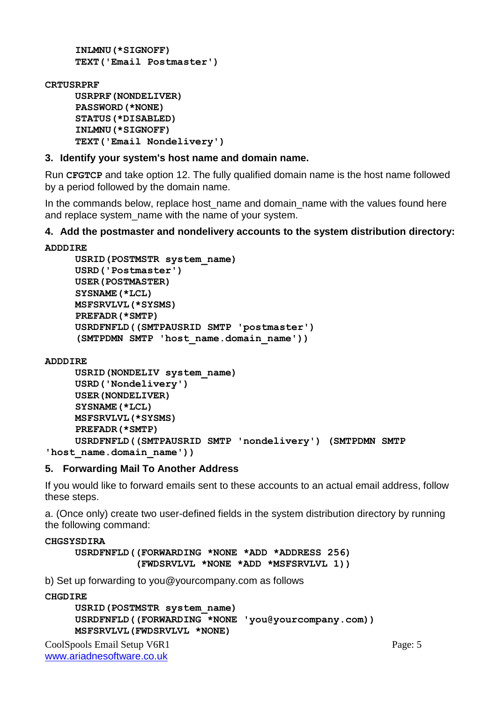```
INLMNU(*SIGNOFF)
TEXT('Email Postmaster')
```
#### **CRTUSRPRF**

```
USRPRF(NONDELIVER) 
PASSWORD(*NONE) 
STATUS(*DISABLED) 
INLMNU(*SIGNOFF)
TEXT('Email Nondelivery')
```
### **3. Identify your system's host name and domain name.**

Run **CFGTCP** and take option 12. The fully qualified domain name is the host name followed by a period followed by the domain name.

In the commands below, replace host\_name and domain\_name with the values found here and replace system\_name with the name of your system.

### **4. Add the postmaster and nondelivery accounts to the system distribution directory:**

```
ADDDIRE 
     USRID(POSTMSTR system_name) 
     USRD('Postmaster') 
     USER(POSTMASTER) 
     SYSNAME(*LCL)
     MSFSRVLVL(*SYSMS) 
     PREFADR(*SMTP) 
     USRDFNFLD((SMTPAUSRID SMTP 'postmaster')
     (SMTPDMN SMTP 'host_name.domain_name'))
```
#### **ADDDIRE**

```
USRID(NONDELIV system_name) 
     USRD('Nondelivery') 
     USER(NONDELIVER) 
     SYSNAME(*LCL)
    MSFSRVLVL(*SYSMS) 
     PREFADR(*SMTP) 
     USRDFNFLD((SMTPAUSRID SMTP 'nondelivery') (SMTPDMN SMTP 
'host_name.domain_name'))
```
# **5. Forwarding Mail To Another Address**

If you would like to forward emails sent to these accounts to an actual email address, follow these steps.

a. (Once only) create two user-defined fields in the system distribution directory by running the following command:

#### **CHGSYSDIRA**

**USRDFNFLD((FORWARDING \*NONE \*ADD \*ADDRESS 256) (FWDSRVLVL \*NONE \*ADD \*MSFSRVLVL 1))**

b) Set up forwarding to you@yourcompany.com as follows

**CHGDIRE** 

```
USRID(POSTMSTR system_name) 
USRDFNFLD((FORWARDING *NONE 'you@yourcompany.com))
MSFSRVLVL(FWDSRVLVL *NONE)
```

```
CoolSpools Email Setup V6R1 Page: 5
www.ariadnesoftware.co.uk
```